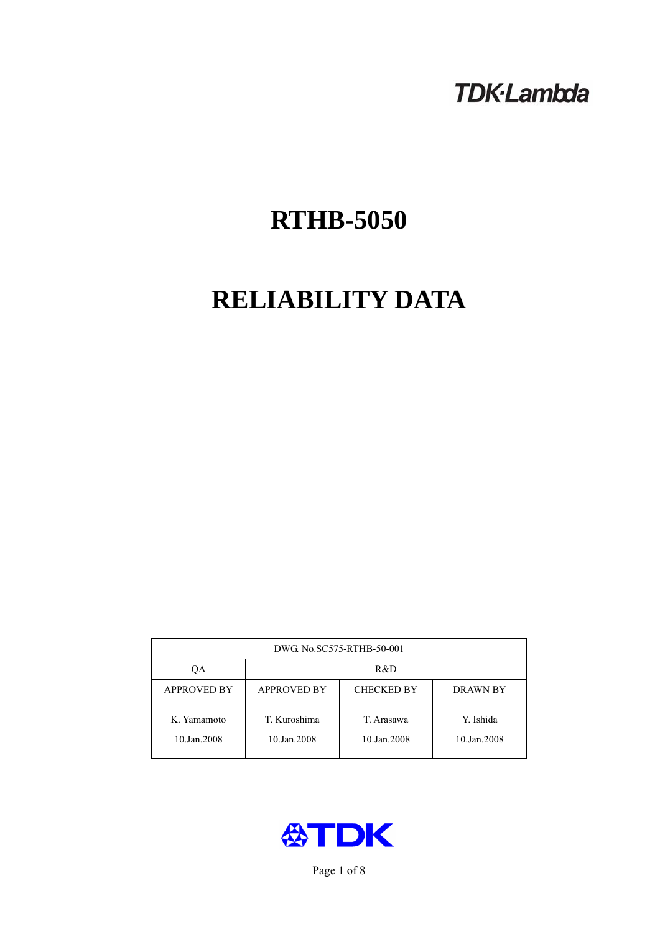# **TDK-Lambda**

# **RTHB-5050**

# **RELIABILITY DATA**

| DWG No.SC575-RTHB-50-001   |                                                     |                           |                          |  |  |
|----------------------------|-----------------------------------------------------|---------------------------|--------------------------|--|--|
| ОA                         | R&D                                                 |                           |                          |  |  |
| <b>APPROVED BY</b>         | <b>APPROVED BY</b><br><b>CHECKED BY</b><br>DRAWN BY |                           |                          |  |  |
| K. Yamamoto<br>10.Jan.2008 | T. Kuroshima<br>10.Jan.2008                         | T. Arasawa<br>10.Jan.2008 | Y. Ishida<br>10.Jan.2008 |  |  |



Page 1 of 8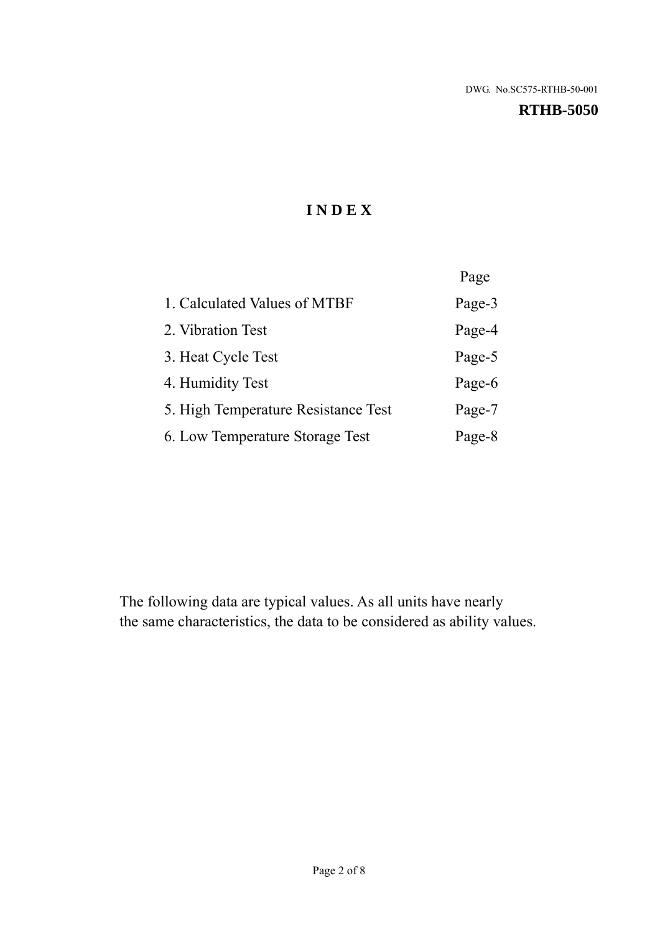#### **RTHB-5050**

# **I N D E X**

|                                     | Page   |
|-------------------------------------|--------|
| 1. Calculated Values of MTBF        | Page-3 |
| 2. Vibration Test                   | Page-4 |
| 3. Heat Cycle Test                  | Page-5 |
| 4. Humidity Test                    | Page-6 |
| 5. High Temperature Resistance Test | Page-7 |
| 6. Low Temperature Storage Test     | Page-8 |

The following data are typical values. As all units have nearly the same characteristics, the data to be considered as ability values.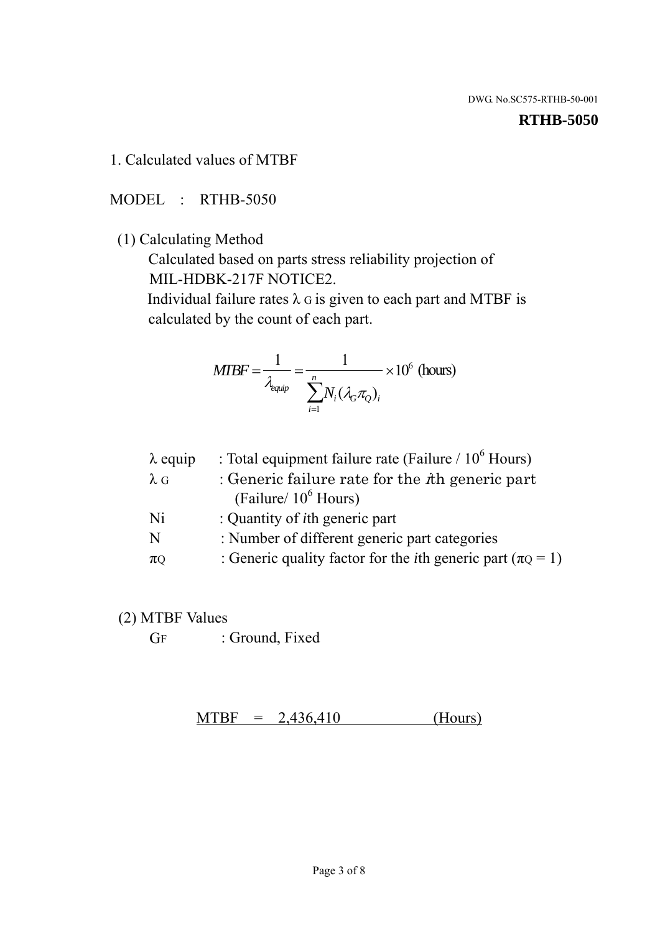#### **RTHB-5050**

1. Calculated values of MTBF

MODEL : RTHB-5050

(1) Calculating Method

 Calculated based on parts stress reliability projection of MIL-HDBK-217F NOTICE2.

Individual failure rates  $\lambda$  G is given to each part and MTBF is calculated by the count of each part.

$$
MTBF = \frac{1}{\lambda_{\text{equip}}} = \frac{1}{\sum_{i=1}^{n} N_i (\lambda_G \pi_Q)_i} \times 10^6 \text{ (hours)}
$$

| $\lambda$ equip | : Total equipment failure rate (Failure $/ 10^6$ Hours)                   |
|-----------------|---------------------------------------------------------------------------|
| $\lambda$ G     | : Generic failure rate for the $\hbar$ generic part                       |
|                 | (Failure/ $10^6$ Hours)                                                   |
| Ni              | : Quantity of <i>i</i> th generic part                                    |
| N               | : Number of different generic part categories                             |
| $\pi$ Q         | : Generic quality factor for the <i>i</i> th generic part ( $\pi Q = 1$ ) |

- (2) MTBF Values
	- GF : Ground, Fixed

 $MTBF = 2,436,410$  (Hours)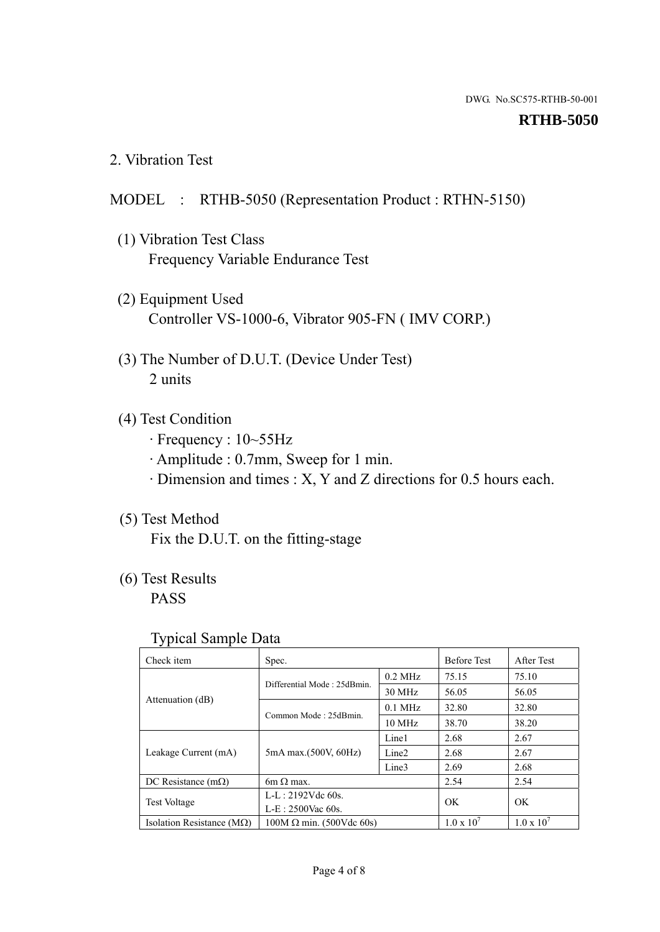#### **RTHB-5050**

2. Vibration Test

# MODEL : RTHB-5050 (Representation Product : RTHN-5150)

- (1) Vibration Test Class Frequency Variable Endurance Test
- (2) Equipment Used Controller VS-1000-6, Vibrator 905-FN ( IMV CORP.)
- (3) The Number of D.U.T. (Device Under Test) 2 units
- (4) Test Condition
	- · Frequency : 10~55Hz
	- · Amplitude : 0.7mm, Sweep for 1 min.
	- · Dimension and times : X, Y and Z directions for 0.5 hours each.

# (5) Test Method

Fix the D.U.T. on the fitting-stage

# (6) Test Results

PASS

#### Typical Sample Data

| Check item                         | Spec.                           |                   | <b>Before Test</b>  | After Test          |
|------------------------------------|---------------------------------|-------------------|---------------------|---------------------|
|                                    | Differential Mode: 25dBmin.     | $0.2$ MHz         | 75.15               | 75.10               |
|                                    |                                 | 30 MHz            | 56.05               | 56.05               |
| Attenuation (dB)                   |                                 | $0.1$ MHz         | 32.80               | 32.80               |
|                                    | Common Mode: 25dBmin.           | 10 MHz            | 38.70               | 38.20               |
| Leakage Current (mA)               | 5mA max.(500V, 60Hz)            | Line1             | 2.68                | 2.67                |
|                                    |                                 | Line <sub>2</sub> | 2.68                | 2.67                |
|                                    |                                 | Line3             | 2.69                | 2.68                |
| DC Resistance $(m\Omega)$          | 6m $\Omega$ max.                |                   | 2.54                | 2.54                |
| <b>Test Voltage</b>                | $L-L: 2192Vdc$ 60s.             |                   | OK                  | OK                  |
|                                    | $L-E$ : 2500Vac 60s.            |                   |                     |                     |
| Isolation Resistance ( $M\Omega$ ) | $100M \Omega$ min. (500Vdc 60s) |                   | $1.0 \times 10^{7}$ | $1.0 \times 10^{7}$ |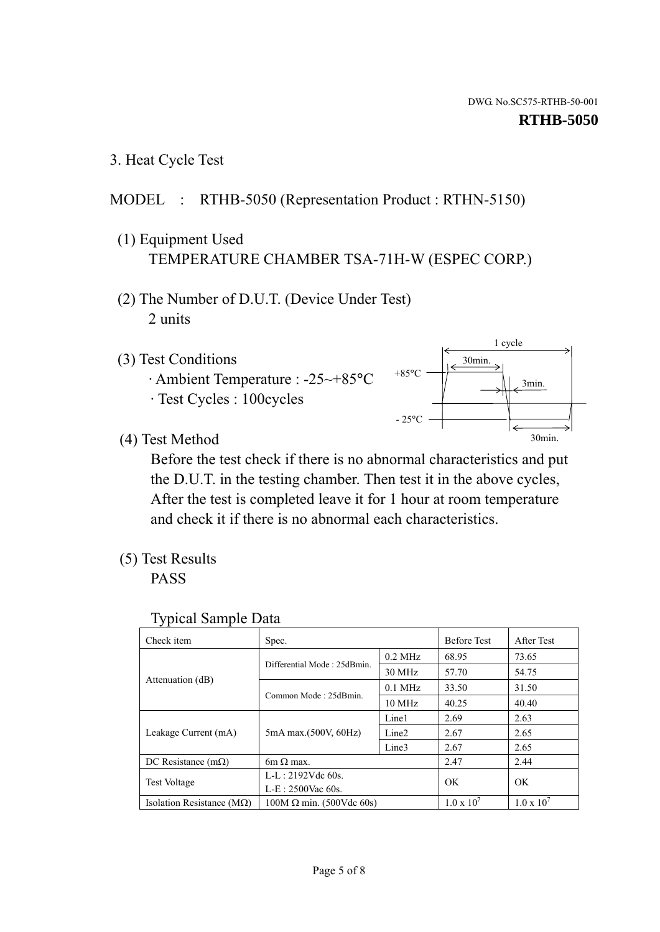3. Heat Cycle Test

# MODEL : RTHB-5050 (Representation Product : RTHN-5150)

- (1) Equipment Used TEMPERATURE CHAMBER TSA-71H-W (ESPEC CORP.)
- (2) The Number of D.U.T. (Device Under Test) 2 units
- (3) Test Conditions
	- · Ambient Temperature : -25~+85°C · Test Cycles : 100cycles



(4) Test Method

 Before the test check if there is no abnormal characteristics and put the D.U.T. in the testing chamber. Then test it in the above cycles, After the test is completed leave it for 1 hour at room temperature and check it if there is no abnormal each characteristics.

(5) Test Results

PASS

| <b>Typical Sample Data</b> |  |
|----------------------------|--|
|                            |  |

| Check item                    | Spec.                           |                   | <b>Before Test</b>  | After Test          |
|-------------------------------|---------------------------------|-------------------|---------------------|---------------------|
|                               | Differential Mode: 25dBmin.     | $0.2$ MHz         | 68.95               | 73.65               |
|                               |                                 | 30 MHz            | 57.70               | 54.75               |
| Attenuation (dB)              | Common Mode: 25dBmin.           | $0.1$ MHz         | 33.50               | 31.50               |
|                               |                                 | $10 \text{ MHz}$  | 40.25               | 40.40               |
| Leakage Current (mA)          | 5mA max.(500V, 60Hz)            | Line1             | 2.69                | 2.63                |
|                               |                                 | Line <sub>2</sub> | 2.67                | 2.65                |
|                               |                                 | Line3             | 2.67                | 2.65                |
| DC Resistance $(m\Omega)$     | 6m $\Omega$ max.                |                   | 2.47                | 2.44                |
| <b>Test Voltage</b>           | $L-L: 2192Vdc$ 60s.             |                   | OK                  | OK.                 |
|                               | $L-E: 2500$ Vac 60s.            |                   |                     |                     |
| Isolation Resistance ( $MQ$ ) | $100M \Omega$ min. (500Vdc 60s) |                   | $1.0 \times 10^{7}$ | $1.0 \times 10^{7}$ |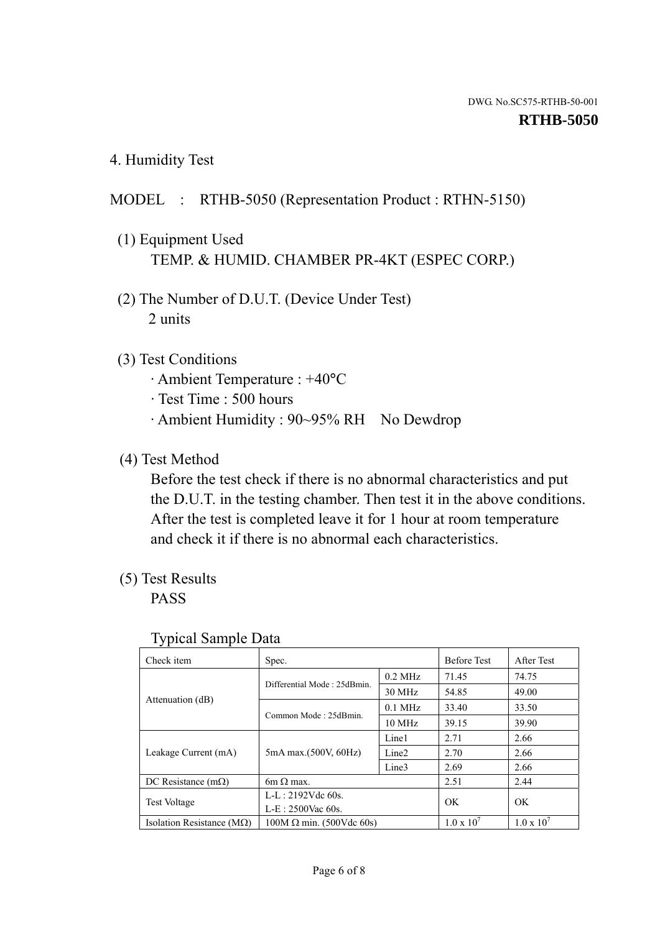4. Humidity Test

# MODEL : RTHB-5050 (Representation Product : RTHN-5150)

- (1) Equipment Used TEMP. & HUMID. CHAMBER PR-4KT (ESPEC CORP.)
- (2) The Number of D.U.T. (Device Under Test) 2 units

### (3) Test Conditions

- · Ambient Temperature : +40°C
- · Test Time : 500 hours
- · Ambient Humidity : 90~95% RH No Dewdrop

# (4) Test Method

 Before the test check if there is no abnormal characteristics and put the D.U.T. in the testing chamber. Then test it in the above conditions. After the test is completed leave it for 1 hour at room temperature and check it if there is no abnormal each characteristics.

## (5) Test Results

PASS

| ັ່<br>Check item                   | Spec.                       |                   | <b>Before Test</b>  | After Test          |
|------------------------------------|-----------------------------|-------------------|---------------------|---------------------|
|                                    | Differential Mode: 25dBmin. | $0.2$ MHz         | 71.45               | 74.75               |
|                                    |                             | 30 MHz            | 54.85               | 49.00               |
| Attenuation (dB)                   | Common Mode: 25dBmin.       | $0.1$ MHz         | 33.40               | 33.50               |
|                                    |                             | $10 \text{ MHz}$  | 39.15               | 39.90               |
| Leakage Current (mA)               | 5mA max.(500V, 60Hz)        | Line1             | 2.71                | 2.66                |
|                                    |                             | Line <sub>2</sub> | 2.70                | 2.66                |
|                                    |                             | Line3             | 2.69                | 2.66                |
| DC Resistance $(m\Omega)$          | $6m \Omega$ max.            |                   | 2.51                | 2.44                |
| Test Voltage                       | $L-L: 2192Vdc$ 60s.         |                   | OK                  | OK.                 |
|                                    | $L-E: 2500$ Vac 60s.        |                   |                     |                     |
| Isolation Resistance ( $M\Omega$ ) | $100M$ Ω min. (500Vdc 60s)  |                   | $1.0 \times 10^{7}$ | $1.0 \times 10^{7}$ |

#### Typical Sample Data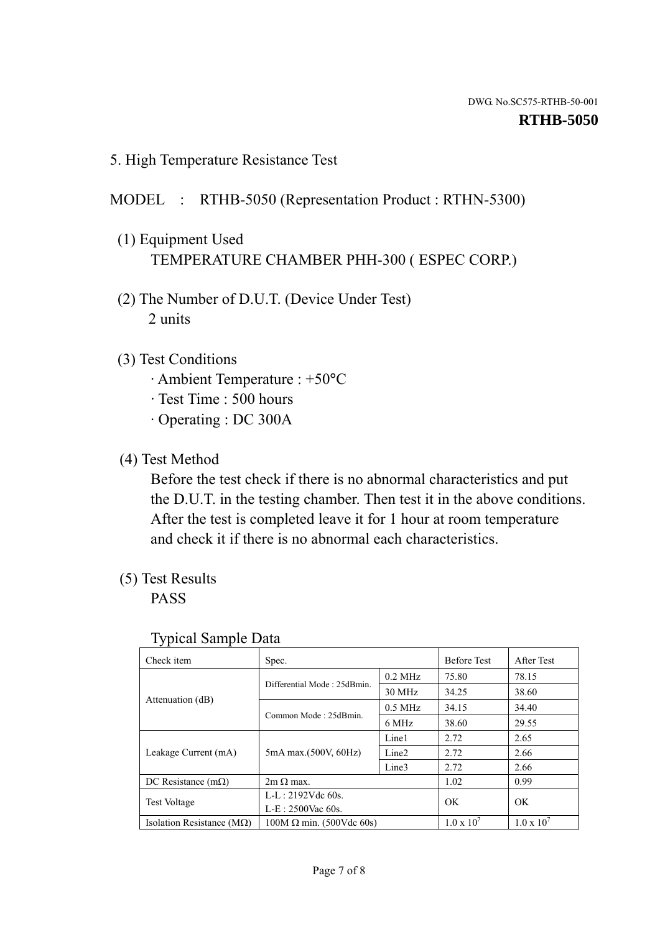5. High Temperature Resistance Test

### MODEL : RTHB-5050 (Representation Product : RTHN-5300)

- (1) Equipment Used TEMPERATURE CHAMBER PHH-300 ( ESPEC CORP.)
- (2) The Number of D.U.T. (Device Under Test) 2 units
- (3) Test Conditions
	- · Ambient Temperature : +50°C
	- · Test Time : 500 hours
	- · Operating : DC 300A
- (4) Test Method

 Before the test check if there is no abnormal characteristics and put the D.U.T. in the testing chamber. Then test it in the above conditions. After the test is completed leave it for 1 hour at room temperature and check it if there is no abnormal each characteristics.

(5) Test Results

PASS

| ັ່                                 |                                 |                   |                     |                     |
|------------------------------------|---------------------------------|-------------------|---------------------|---------------------|
| Check item                         | Spec.                           |                   | <b>Before Test</b>  | After Test          |
|                                    | Differential Mode: 25dBmin.     | $0.2$ MHz         | 75.80               | 78.15               |
|                                    |                                 | 30 MHz            | 34.25               | 38.60               |
| Attenuation (dB)                   | Common Mode: 25dBmin.           | $0.5$ MHz         | 34.15               | 34.40               |
|                                    |                                 | 6 MHz             | 38.60               | 29.55               |
| Leakage Current (mA)               | 5mA max.(500V, 60Hz)            | Line1             | 2.72                | 2.65                |
|                                    |                                 | Line <sub>2</sub> | 2.72                | 2.66                |
|                                    |                                 | Line3             | 2.72                | 2.66                |
| DC Resistance $(m\Omega)$          | $2m \Omega$ max.                |                   | 1.02                | 0.99                |
| <b>Test Voltage</b>                | $L-L: 2192Vdc$ 60s.             |                   | OK.                 | OK                  |
|                                    | $L-E$ : 2500Vac 60s.            |                   |                     |                     |
| Isolation Resistance ( $M\Omega$ ) | $100M \Omega$ min. (500Vdc 60s) |                   | $1.0 \times 10^{7}$ | $1.0 \times 10^{7}$ |

#### Typical Sample Data